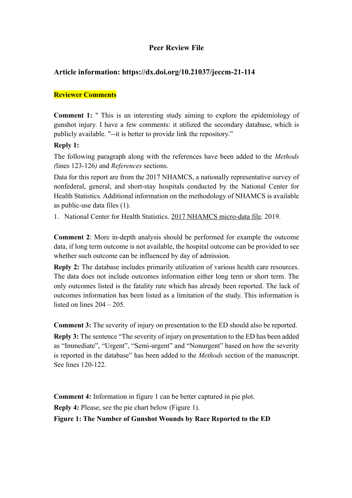## **Peer Review File**

## **Article information: https://dx.doi.org/10.21037/jeccm-21-114**

## **Reviewer Comments**

**Comment 1:** " This is an interesting study aiming to explore the epidemiology of gunshot injury. I have a few comments: it utilized the secondary database, which is publicly available. "--it is better to provide link the repository."

## **Reply 1:**

The following paragraph along with the references have been added to the *Methods (*lines 123-126*)* and *References* sections.

Data for this report are from the 2017 NHAMCS, a nationally representative survey of nonfederal, general, and short-stay hospitals conducted by the National Center for Health Statistics. Additional information on the methodology of NHAMCS is available as public-use data files (1).

1. National Center for Health Statistics. 2017 NHAMCS micro-data file. 2019.

**Comment 2**: More in-depth analysis should be performed for example the outcome data, if long term outcome is not available, the hospital outcome can be provided to see whether such outcome can be influenced by day of admission.

**Reply 2:** The database includes primarily utilization of various health care resources. The data does not include outcomes information either long term or short term. The only outcomes listed is the fatality rate which has already been reported. The lack of outcomes information has been listed as a limitation of the study. This information is listed on lines 204 – 205.

**Comment 3:** The severity of injury on presentation to the ED should also be reported.

**Reply 3:** The sentence "The severity of injury on presentation to the ED has been added as "Immediate", "Urgent", "Semi-urgent" and "Nonurgent" based on how the severity is reported in the database" has been added to the *Methods* section of the manuscript. See lines 120-122.

**Comment 4:** Information in figure 1 can be better captured in pie plot.

**Reply 4:** Please, see the pie chart below (Figure 1).

**Figure 1: The Number of Gunshot Wounds by Race Reported to the ED**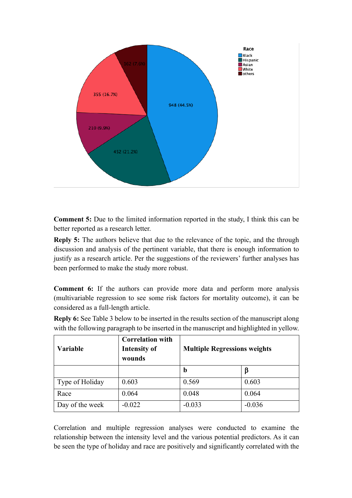

**Comment 5:** Due to the limited information reported in the study, I think this can be better reported as a research letter.

**Reply 5:** The authors believe that due to the relevance of the topic, and the through discussion and analysis of the pertinent variable, that there is enough information to justify as a research article. Per the suggestions of the reviewers' further analyses has been performed to make the study more robust.

**Comment 6:** If the authors can provide more data and perform more analysis (multivariable regression to see some risk factors for mortality outcome), it can be considered as a full-length article.

**Reply 6:** See Table 3 below to be inserted in the results section of the manuscript along with the following paragraph to be inserted in the manuscript and highlighted in yellow.

| <b>Variable</b> | <b>Correlation with</b><br><b>Intensity of</b><br>wounds | <b>Multiple Regressions weights</b> |          |
|-----------------|----------------------------------------------------------|-------------------------------------|----------|
|                 |                                                          | b                                   | β        |
| Type of Holiday | 0.603                                                    | 0.569                               | 0.603    |
| Race            | 0.064                                                    | 0.048                               | 0.064    |
| Day of the week | $-0.022$                                                 | $-0.033$                            | $-0.036$ |

Correlation and multiple regression analyses were conducted to examine the relationship between the intensity level and the various potential predictors. As it can be seen the type of holiday and race are positively and significantly correlated with the